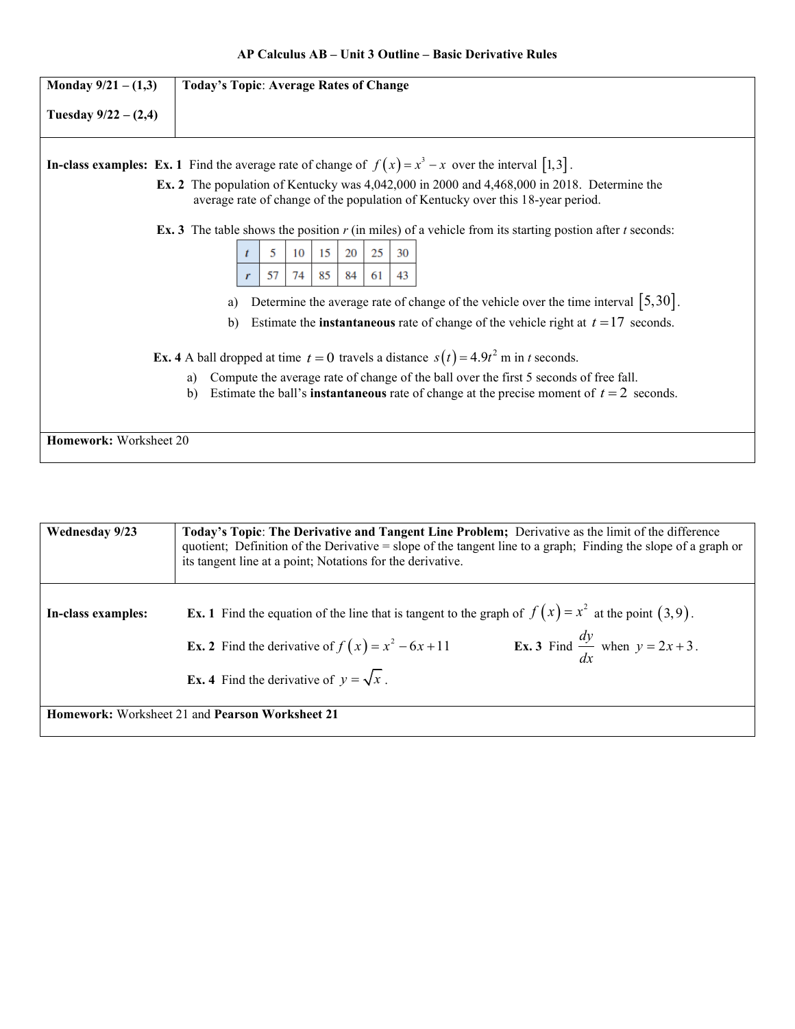| Monday $9/21 - (1,3)$                                                                                                                                                                                            | <b>Today's Topic: Average Rates of Change</b>                                                                      |  |
|------------------------------------------------------------------------------------------------------------------------------------------------------------------------------------------------------------------|--------------------------------------------------------------------------------------------------------------------|--|
| Tuesday $9/22 - (2,4)$                                                                                                                                                                                           |                                                                                                                    |  |
|                                                                                                                                                                                                                  | <b>In-class examples:</b> Ex. 1 Find the average rate of change of $f(x) = x^3 - x$ over the interval [1,3].       |  |
| Ex. 2 The population of Kentucky was $4,042,000$ in 2000 and $4,468,000$ in 2018. Determine the<br>average rate of change of the population of Kentucky over this 18-year period.                                |                                                                                                                    |  |
|                                                                                                                                                                                                                  | <b>Ex. 3</b> The table shows the position $r$ (in miles) of a vehicle from its starting postion after $t$ seconds: |  |
|                                                                                                                                                                                                                  | 25<br>15<br>20<br>5<br>10<br>30                                                                                    |  |
|                                                                                                                                                                                                                  | 85<br>43<br>57<br>74<br>84<br>61                                                                                   |  |
|                                                                                                                                                                                                                  | Determine the average rate of change of the vehicle over the time interval $\left[5,30\right]$ .<br>a)             |  |
|                                                                                                                                                                                                                  | Estimate the <b>instantaneous</b> rate of change of the vehicle right at $t = 17$ seconds.<br>$\mathbf{b}$         |  |
| <b>Ex. 4</b> A ball dropped at time $t = 0$ travels a distance $s(t) = 4.9t^2$ m in t seconds.                                                                                                                   |                                                                                                                    |  |
| Compute the average rate of change of the ball over the first 5 seconds of free fall.<br>a)<br>Estimate the ball's <b>instantaneous</b> rate of change at the precise moment of $t = 2$ seconds.<br>$\mathbf{b}$ |                                                                                                                    |  |
| Homework: Worksheet 20                                                                                                                                                                                           |                                                                                                                    |  |

| <b>Wednesday 9/23</b>                           | Today's Topic: The Derivative and Tangent Line Problem; Derivative as the limit of the difference<br>quotient; Definition of the Derivative = slope of the tangent line to a graph; Finding the slope of a graph or<br>its tangent line at a point; Notations for the derivative.          |
|-------------------------------------------------|--------------------------------------------------------------------------------------------------------------------------------------------------------------------------------------------------------------------------------------------------------------------------------------------|
| In-class examples:                              | <b>Ex.</b> 1 Find the equation of the line that is tangent to the graph of $f(x) = x^2$ at the point (3,9).<br><b>Ex. 3</b> Find $\frac{dy}{dx}$ when $y = 2x + 3$ .<br><b>Ex. 2</b> Find the derivative of $f(x) = x^2 - 6x + 11$<br><b>Ex. 4</b> Find the derivative of $y = \sqrt{x}$ . |
| Homework: Worksheet 21 and Pearson Worksheet 21 |                                                                                                                                                                                                                                                                                            |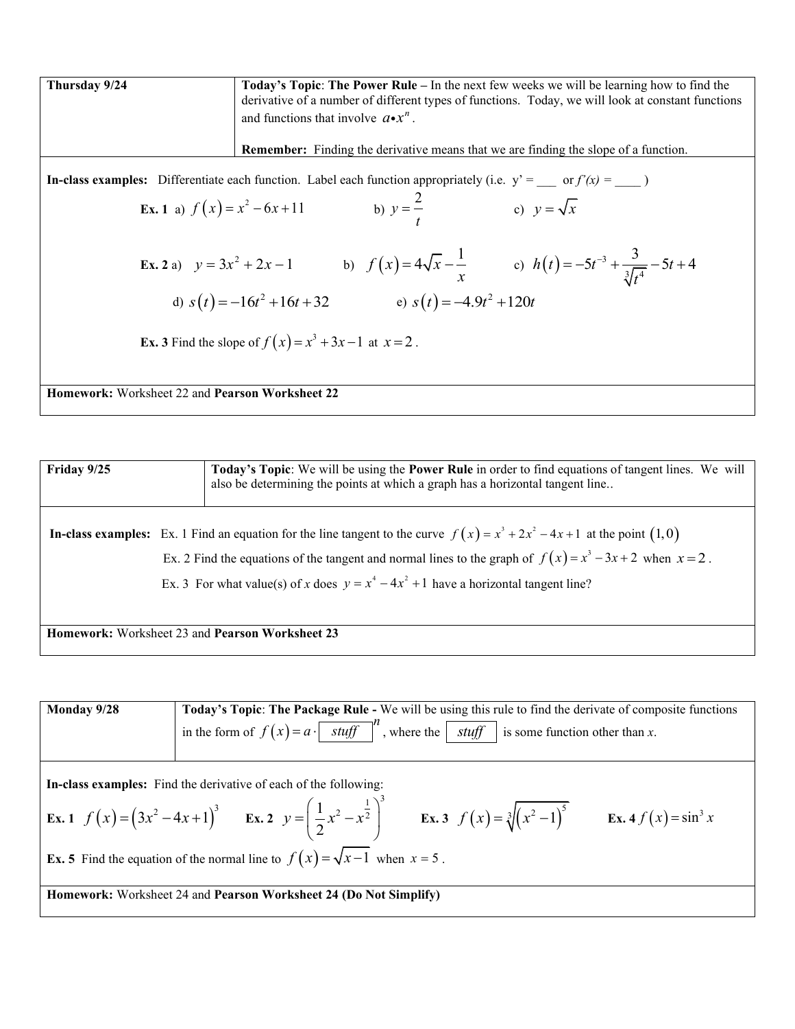**Thursday 9/24 Today's Topic: The Power Rule** – In the next few weeks we will be learning how to find the derivative of a number of different types of functions. Today, we will look at constant functions and functions that involve  $a \cdot x^n$ . **Remember:** Finding the derivative means that we are finding the slope of a function. **In-class examples:** Differentiate each function. Label each function appropriately (i.e.  $y' =$  \_\_\_ or  $f'(x) =$  \_\_\_\_  $)$ **Ex. 1** a)  $f(x) = x^2 - 6x + 11$ b)  $y = \frac{2}{x}$ *t* = c)  $y = \sqrt{x}$ **Ex. 2** a)  $y = 3x^2 + 2x - 1$  b)  $f(x) = 4\sqrt{x} - \frac{1}{x}$ *x*  $= 4\sqrt{x} - \frac{1}{x}$  c)  $h(t) = -5t^{-3} + \frac{5}{3\sqrt{t^4}}$  $h(t) = -5t^{-3} + \frac{3}{\sqrt{14}} - 5t + 4$ *t*  $=-5t^{-3}+\frac{3}{2\sqrt{4}}-5t+4$ d)  $s(t) = -16t^2 + 16t + 32$  e)  $s(t) = -4.9t^2 + 120t$ **Ex. 3** Find the slope of  $f(x) = x^3 + 3x - 1$  at  $x = 2$ . **Homework:** Worksheet 22 and **Pearson Worksheet 22**

| Friday 9/25                                                   |  | Today's Topic: We will be using the Power Rule in order to find equations of tangent lines. We will<br>also be determining the points at which a graph has a horizontal tangent line                                                                                                                                                            |
|---------------------------------------------------------------|--|-------------------------------------------------------------------------------------------------------------------------------------------------------------------------------------------------------------------------------------------------------------------------------------------------------------------------------------------------|
|                                                               |  | <b>In-class examples:</b> Ex. 1 Find an equation for the line tangent to the curve $f(x) = x^3 + 2x^2 - 4x + 1$ at the point $(1,0)$<br>Ex. 2 Find the equations of the tangent and normal lines to the graph of $f(x) = x^3 - 3x + 2$ when $x = 2$ .<br>Ex. 3 For what value(s) of x does $y = x^4 - 4x^2 + 1$ have a horizontal tangent line? |
| <b>Homework:</b> Worksheet 23 and <b>Pearson Worksheet 23</b> |  |                                                                                                                                                                                                                                                                                                                                                 |

| Monday 9/28                                                                             | Today's Topic: The Package Rule - We will be using this rule to find the derivate of composite functions                                                                   |
|-----------------------------------------------------------------------------------------|----------------------------------------------------------------------------------------------------------------------------------------------------------------------------|
|                                                                                         |                                                                                                                                                                            |
|                                                                                         | in the form of $f(x) = a \cdot \boxed{stuff}^n$ , where the $\boxed{stuff}$ is some function other than x.                                                                 |
|                                                                                         |                                                                                                                                                                            |
|                                                                                         |                                                                                                                                                                            |
|                                                                                         |                                                                                                                                                                            |
|                                                                                         |                                                                                                                                                                            |
|                                                                                         | In-class examples: Find the derivative of each of the following:                                                                                                           |
|                                                                                         |                                                                                                                                                                            |
|                                                                                         | <b>Ex.</b> 1 $f(x) = (3x^2 - 4x + 1)^3$ <b>Ex.</b> 2 $y = (\frac{1}{2}x^2 - x^{\frac{1}{2}})^3$ <b>Ex.</b> 3 $f(x) = \sqrt[3]{(x^2 - 1)^5}$ <b>Ex.</b> 4 $f(x) = \sin^3 x$ |
|                                                                                         |                                                                                                                                                                            |
|                                                                                         |                                                                                                                                                                            |
|                                                                                         |                                                                                                                                                                            |
| <b>Ex. 5</b> Find the equation of the normal line to $f(x) = \sqrt{x-1}$ when $x = 5$ . |                                                                                                                                                                            |
|                                                                                         |                                                                                                                                                                            |
|                                                                                         |                                                                                                                                                                            |
| Homework: Worksheet 24 and Pearson Worksheet 24 (Do Not Simplify)                       |                                                                                                                                                                            |
|                                                                                         |                                                                                                                                                                            |
|                                                                                         |                                                                                                                                                                            |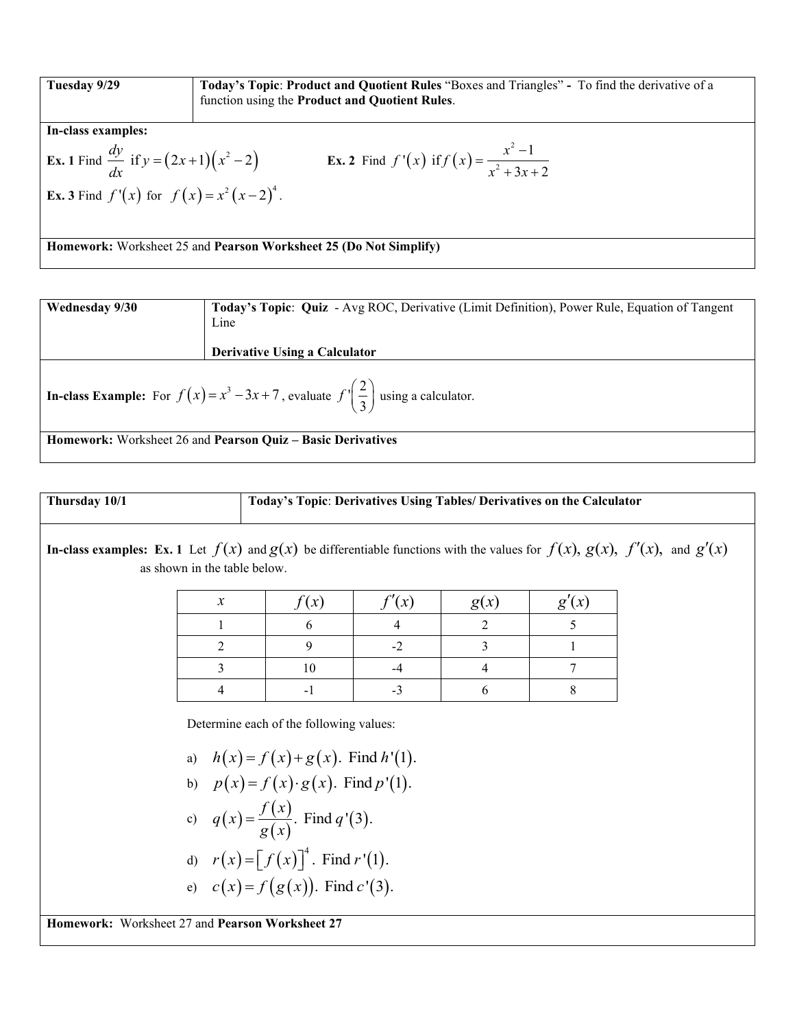| Tuesday 9/29                                                      | <b>Today's Topic: Product and Quotient Rules</b> "Boxes and Triangles" - To find the derivative of a<br>function using the Product and Quotient Rules. |
|-------------------------------------------------------------------|--------------------------------------------------------------------------------------------------------------------------------------------------------|
| In-class examples:                                                |                                                                                                                                                        |
| <b>Ex.</b> 1 Find $\frac{dy}{dx}$ if $y = (2x+1)(x^2-2)$          | <b>Ex. 2</b> Find $f'(x)$ if $f(x) = \frac{x^2 - 1}{x^2 + 3x + 2}$                                                                                     |
| <b>Ex.</b> 3 Find $f'(x)$ for $f(x) = x^2(x-2)^4$ .               |                                                                                                                                                        |
|                                                                   |                                                                                                                                                        |
| Homework: Worksheet 25 and Pearson Worksheet 25 (Do Not Simplify) |                                                                                                                                                        |

| Today's Topic: Quiz - Avg ROC, Derivative (Limit Definition), Power Rule, Equation of Tangent       |  |
|-----------------------------------------------------------------------------------------------------|--|
|                                                                                                     |  |
| <b>Derivative Using a Calculator</b>                                                                |  |
|                                                                                                     |  |
| <b>In-class Example:</b> For $f(x) = x^3 - 3x + 7$ , evaluate $f'(\frac{2}{3})$ using a calculator. |  |
|                                                                                                     |  |
| <b>Homework:</b> Worksheet 26 and <b>Pearson Quiz – Basic Derivatives</b>                           |  |
| Line                                                                                                |  |

| Thusday 10/1                                                                                                                                                                                                    | Today's Topic: Derivatives Using Tables/ Derivatives on the Calculator |
|-----------------------------------------------------------------------------------------------------------------------------------------------------------------------------------------------------------------|------------------------------------------------------------------------|
| In-class examples: Ex. 1 Let $f(x)$ and $g(x)$ be differentiable functions with the values for $f(x)$ , $g(x)$ , $f'(x)$ , and $g'(x)$ as shown in the table below.                                             |                                                                        |
| $\begin{array}{r rrrrrr}\n x & f(x) & f'(x) & g(x) & g'(x) \\ \hline\n & 1 & 6 & 4 & 2 & 5 \\ \hline\n & 2 & 9 & -2 & 3 & 1 \\ \hline\n & 3 & 10 & 4 & 4 & 7 \\ \hline\n & 4 & -1 & -3 & 6 & 8\n\end{array}$ \n |                                                                        |
| Determine each of the following values:                                                                                                                                                                         |                                                                        |
| a) $h(x) = f(x) + g(x)$ . Find $h'(1)$ .                                                                                                                                                                        |                                                                        |
| b) $p(x) = f(x) \cdot g(x)$ . Find $p'(1)$ .                                                                                                                                                                    |                                                                        |
| c) $q(x) = \frac{f(x)}{g(x)}$ . Find $q'(3)$ .                                                                                                                                                                  |                                                                        |
| d) $r(x) = [f(x)]^4$ . Find $r'(1)$ .                                                                                                                                                                           |                                                                        |
| e) $c(x) = f(g(x))$ . Find $c'(3)$ .                                                                                                                                                                            |                                                                        |
| Homwork: Workshop 37                                                                                                                                                                                            |                                                                        |